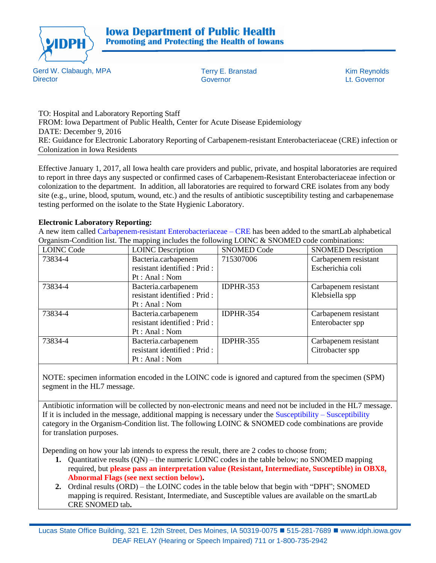

Gerd W. Clabaugh, MPA **Director** 

Terry E. Branstad Kim Reynolds Governor Lt. Governor

TO: Hospital and Laboratory Reporting Staff FROM: Iowa Department of Public Health, Center for Acute Disease Epidemiology DATE: December 9, 2016 RE: Guidance for Electronic Laboratory Reporting of Carbapenem-resistant Enterobacteriaceae (CRE) infection or Colonization in Iowa Residents

Effective January 1, 2017, all Iowa health care providers and public, private, and hospital laboratories are required to report in three days any suspected or confirmed cases of Carbapenem-Resistant Enterobacteriaceae infection or colonization to the department. In addition, all laboratories are required to forward CRE isolates from any body site (e.g., urine, blood, sputum, wound, etc.) and the results of antibiotic susceptibility testing and carbapenemase testing performed on the isolate to the State Hygienic Laboratory.

## **Electronic Laboratory Reporting:**

A new item called Carbapenem-resistant Enterobacteriaceae – CRE has been added to the smartLab alphabetical Organism-Condition list. The mapping includes the following LOINC & SNOMED code combinations:

| <b>LOINC Code</b> | <b>LOINC</b> Description      | <b>SNOMED Code</b> | <b>SNOMED</b> Description |
|-------------------|-------------------------------|--------------------|---------------------------|
| 73834-4           | Bacteria.carbapenem           | 715307006          | Carbapenem resistant      |
|                   | resistant identified : Prid : |                    | Escherichia coli          |
|                   | Pt : Anal : Nom               |                    |                           |
| 73834-4           | Bacteria.carbapenem           | IDPHR-353          | Carbapenem resistant      |
|                   | resistant identified : Prid : |                    | Klebsiella spp            |
|                   | Pt: Anal: Nom                 |                    |                           |
| 73834-4           | Bacteria.carbapenem           | <b>IDPHR-354</b>   | Carbapenem resistant      |
|                   | resistant identified : Prid : |                    | Enterobacter spp          |
|                   | Pt : Anal : Nom               |                    |                           |
| 73834-4           | Bacteria.carbapenem           | <b>IDPHR-355</b>   | Carbapenem resistant      |
|                   | resistant identified : Prid : |                    | Citrobacter spp           |
|                   | Pt : Anal : Nom               |                    |                           |

NOTE: specimen information encoded in the LOINC code is ignored and captured from the specimen (SPM) segment in the HL7 message.

Antibiotic information will be collected by non-electronic means and need not be included in the HL7 message. If it is included in the message, additional mapping is necessary under the Susceptibility – Susceptibility category in the Organism-Condition list. The following LOINC & SNOMED code combinations are provide for translation purposes.

Depending on how your lab intends to express the result, there are 2 codes to choose from;

- **1.** Quantitative results (QN) the numeric LOINC codes in the table below; no SNOMED mapping required, but **please pass an interpretation value (Resistant, Intermediate, Susceptible) in OBX8, Abnormal Flags (see next section below).**
- **2.** Ordinal results (ORD) the LOINC codes in the table below that begin with "DPH"; SNOMED mapping is required. Resistant, Intermediate, and Susceptible values are available on the smartLab CRE SNOMED tab**.**

Lucas State Office Building, 321 E. 12th Street, Des Moines, IA 50319-0075 ■ 515-281-7689 ■ [www.idph.iowa.gov](http://www.idph.state.ia.us/) DEAF RELAY (Hearing or Speech Impaired) 711 or 1-800-735-2942